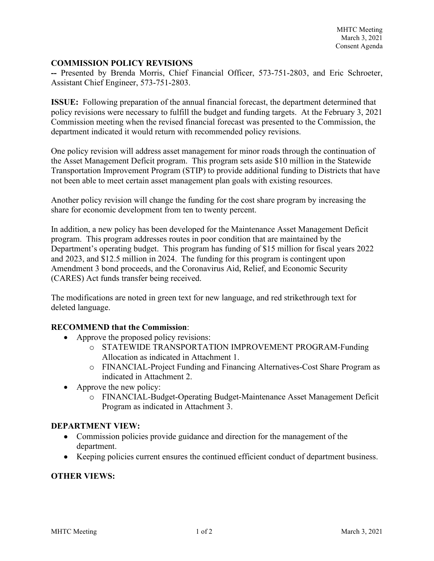### **COMMISSION POLICY REVISIONS**

**--** Presented by Brenda Morris, Chief Financial Officer, 573-751-2803, and Eric Schroeter, Assistant Chief Engineer, 573-751-2803.

**ISSUE:** Following preparation of the annual financial forecast, the department determined that policy revisions were necessary to fulfill the budget and funding targets. At the February 3, 2021 Commission meeting when the revised financial forecast was presented to the Commission, the department indicated it would return with recommended policy revisions.

One policy revision will address asset management for minor roads through the continuation of the Asset Management Deficit program. This program sets aside \$10 million in the Statewide Transportation Improvement Program (STIP) to provide additional funding to Districts that have not been able to meet certain asset management plan goals with existing resources.

Another policy revision will change the funding for the cost share program by increasing the share for economic development from ten to twenty percent.

In addition, a new policy has been developed for the Maintenance Asset Management Deficit program. This program addresses routes in poor condition that are maintained by the Department's operating budget. This program has funding of \$15 million for fiscal years 2022 and 2023, and \$12.5 million in 2024. The funding for this program is contingent upon Amendment 3 bond proceeds, and the Coronavirus Aid, Relief, and Economic Security (CARES) Act funds transfer being received.

The modifications are noted in green text for new language, and red strikethrough text for deleted language.

### **RECOMMEND that the Commission**:

- Approve the proposed policy revisions:
	- o STATEWIDE TRANSPORTATION IMPROVEMENT PROGRAM-Funding Allocation as indicated in Attachment 1.
	- o FINANCIAL-Project Funding and Financing Alternatives-Cost Share Program as indicated in Attachment 2.
- Approve the new policy:
	- o FINANCIAL-Budget-Operating Budget-Maintenance Asset Management Deficit Program as indicated in Attachment 3.

### **DEPARTMENT VIEW:**

- Commission policies provide guidance and direction for the management of the department.
- Keeping policies current ensures the continued efficient conduct of department business.

### **OTHER VIEWS:**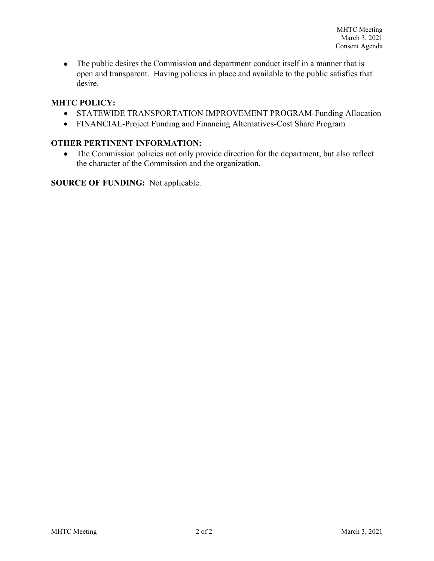• The public desires the Commission and department conduct itself in a manner that is open and transparent. Having policies in place and available to the public satisfies that desire.

## **MHTC POLICY:**

- STATEWIDE TRANSPORTATION IMPROVEMENT PROGRAM-Funding Allocation
- FINANCIAL-Project Funding and Financing Alternatives-Cost Share Program

## **OTHER PERTINENT INFORMATION:**

• The Commission policies not only provide direction for the department, but also reflect the character of the Commission and the organization.

**SOURCE OF FUNDING:** Not applicable.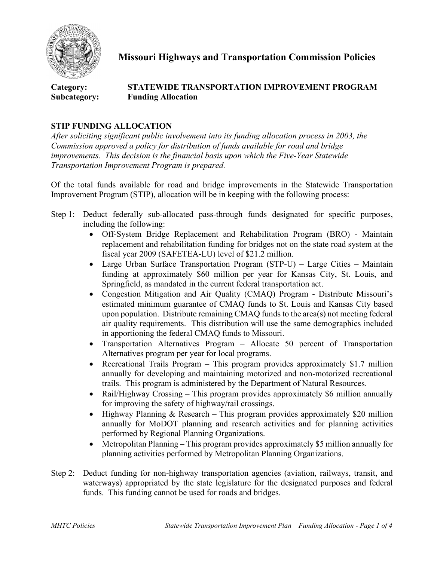

**Missouri Highways and Transportation Commission Policies**

# **Category: STATEWIDE TRANSPORTATION IMPROVEMENT PROGRAM Subcategory: Funding Allocation**

## **STIP FUNDING ALLOCATION**

*After soliciting significant public involvement into its funding allocation process in 2003, the Commission approved a policy for distribution of funds available for road and bridge improvements. This decision is the financial basis upon which the Five-Year Statewide Transportation Improvement Program is prepared.*

Of the total funds available for road and bridge improvements in the Statewide Transportation Improvement Program (STIP), allocation will be in keeping with the following process:

- Step 1: Deduct federally sub-allocated pass-through funds designated for specific purposes, including the following:
	- Off-System Bridge Replacement and Rehabilitation Program (BRO) Maintain replacement and rehabilitation funding for bridges not on the state road system at the fiscal year 2009 (SAFETEA-LU) level of \$21.2 million.
	- Large Urban Surface Transportation Program (STP-U) Large Cities Maintain funding at approximately \$60 million per year for Kansas City, St. Louis, and Springfield, as mandated in the current federal transportation act.
	- Congestion Mitigation and Air Quality (CMAQ) Program Distribute Missouri's estimated minimum guarantee of CMAQ funds to St. Louis and Kansas City based upon population. Distribute remaining CMAQ funds to the area(s) not meeting federal air quality requirements. This distribution will use the same demographics included in apportioning the federal CMAQ funds to Missouri.
	- Transportation Alternatives Program Allocate 50 percent of Transportation Alternatives program per year for local programs.
	- Recreational Trails Program This program provides approximately \$1.7 million annually for developing and maintaining motorized and non-motorized recreational trails. This program is administered by the Department of Natural Resources.
	- Rail/Highway Crossing This program provides approximately \$6 million annually for improving the safety of highway/rail crossings.
	- Highway Planning & Research This program provides approximately \$20 million annually for MoDOT planning and research activities and for planning activities performed by Regional Planning Organizations.
	- Metropolitan Planning This program provides approximately \$5 million annually for planning activities performed by Metropolitan Planning Organizations.
- Step 2: Deduct funding for non-highway transportation agencies (aviation, railways, transit, and waterways) appropriated by the state legislature for the designated purposes and federal funds. This funding cannot be used for roads and bridges.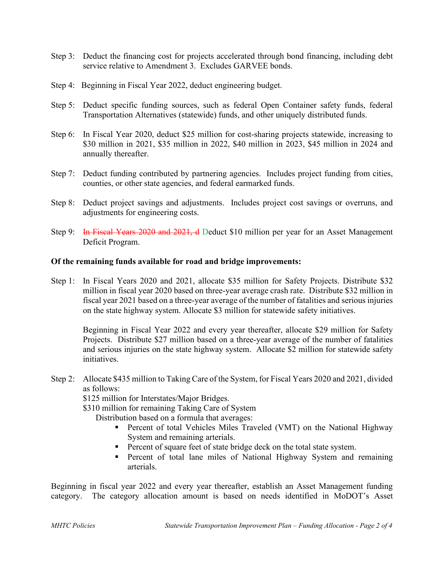- Step 3: Deduct the financing cost for projects accelerated through bond financing, including debt service relative to Amendment 3. Excludes GARVEE bonds.
- Step 4: Beginning in Fiscal Year 2022, deduct engineering budget.
- Step 5: Deduct specific funding sources, such as federal Open Container safety funds, federal Transportation Alternatives (statewide) funds, and other uniquely distributed funds.
- Step 6: In Fiscal Year 2020, deduct \$25 million for cost-sharing projects statewide, increasing to \$30 million in 2021, \$35 million in 2022, \$40 million in 2023, \$45 million in 2024 and annually thereafter.
- Step 7: Deduct funding contributed by partnering agencies. Includes project funding from cities, counties, or other state agencies, and federal earmarked funds.
- Step 8: Deduct project savings and adjustments. Includes project cost savings or overruns, and adjustments for engineering costs.
- Step 9: In Fiscal Years 2020 and 2021, d Deduct \$10 million per year for an Asset Management Deficit Program.

### **Of the remaining funds available for road and bridge improvements:**

Step 1: In Fiscal Years 2020 and 2021, allocate \$35 million for Safety Projects. Distribute \$32 million in fiscal year 2020 based on three-year average crash rate. Distribute \$32 million in fiscal year 2021 based on a three-year average of the number of fatalities and serious injuries on the state highway system. Allocate \$3 million for statewide safety initiatives.

Beginning in Fiscal Year 2022 and every year thereafter, allocate \$29 million for Safety Projects. Distribute \$27 million based on a three-year average of the number of fatalities and serious injuries on the state highway system. Allocate \$2 million for statewide safety initiatives.

Step 2: Allocate \$435 million to Taking Care of the System, for Fiscal Years 2020 and 2021, divided as follows:

\$125 million for Interstates/Major Bridges.

\$310 million for remaining Taking Care of System

Distribution based on a formula that averages:

- Percent of total Vehicles Miles Traveled (VMT) on the National Highway System and remaining arterials.
- **Percent of square feet of state bridge deck on the total state system.**
- **Percent of total lane miles of National Highway System and remaining** arterials.

Beginning in fiscal year 2022 and every year thereafter, establish an Asset Management funding category. The category allocation amount is based on needs identified in MoDOT's Asset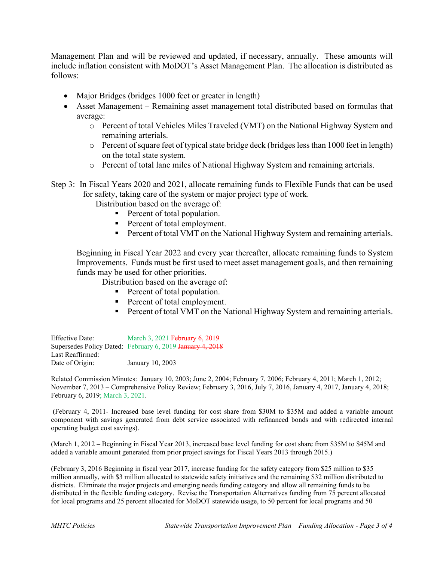Management Plan and will be reviewed and updated, if necessary, annually. These amounts will include inflation consistent with MoDOT's Asset Management Plan. The allocation is distributed as follows:

- Major Bridges (bridges 1000 feet or greater in length)
- Asset Management Remaining asset management total distributed based on formulas that average:
	- o Percent of total Vehicles Miles Traveled (VMT) on the National Highway System and remaining arterials.
	- o Percent of square feet of typical state bridge deck (bridges less than 1000 feet in length) on the total state system.
	- o Percent of total lane miles of National Highway System and remaining arterials.

Step 3: In Fiscal Years 2020 and 2021, allocate remaining funds to Flexible Funds that can be used for safety, taking care of the system or major project type of work.

Distribution based on the average of:

- **Percent of total population.**
- Percent of total employment.
- **Percent of total VMT on the National Highway System and remaining arterials.**

Beginning in Fiscal Year 2022 and every year thereafter, allocate remaining funds to System Improvements. Funds must be first used to meet asset management goals, and then remaining funds may be used for other priorities.

Distribution based on the average of:

- Percent of total population.
- **Percent of total employment.**
- **Percent of total VMT on the National Highway System and remaining arterials.**

Effective Date: March 3, 2021 February 6, 2019 Supersedes Policy Dated: February 6, 2019 January 4, 2018 Last Reaffirmed: Date of Origin: January 10, 2003

Related Commission Minutes: January 10, 2003; June 2, 2004; February 7, 2006; February 4, 2011; March 1, 2012; November 7, 2013 – Comprehensive Policy Review; February 3, 2016, July 7, 2016, January 4, 2017, January 4, 2018; February 6, 2019; March 3, 2021.

(February 4, 2011- Increased base level funding for cost share from \$30M to \$35M and added a variable amount component with savings generated from debt service associated with refinanced bonds and with redirected internal operating budget cost savings).

(March 1, 2012 – Beginning in Fiscal Year 2013, increased base level funding for cost share from \$35M to \$45M and added a variable amount generated from prior project savings for Fiscal Years 2013 through 2015.)

(February 3, 2016 Beginning in fiscal year 2017, increase funding for the safety category from \$25 million to \$35 million annually, with \$3 million allocated to statewide safety initiatives and the remaining \$32 million distributed to districts. Eliminate the major projects and emerging needs funding category and allow all remaining funds to be distributed in the flexible funding category. Revise the Transportation Alternatives funding from 75 percent allocated for local programs and 25 percent allocated for MoDOT statewide usage, to 50 percent for local programs and 50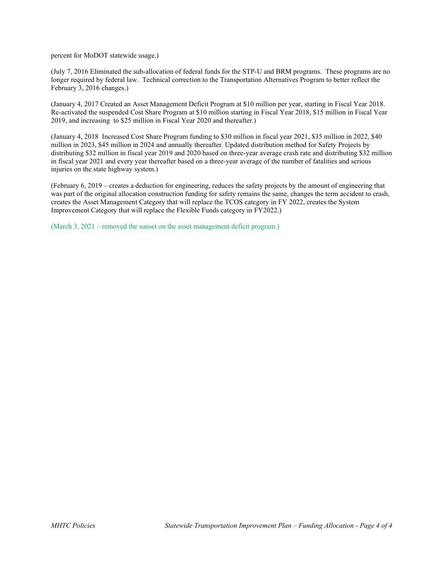percent for MoDOT statewide usage.)

(July 7, 2016 Eliminated the sub-allocation of federal funds for the STP-U and BRM programs. These programs are no longer required by federal law. Technical correction to the Transportation Alternatives Program to better reflect the February 3, 2016 changes.)

(January 4, 2017 Created an Asset Management Deficit Program at \$10 million per year, starting in Fiscal Year 2018. Re-activated the suspended Cost Share Program at \$10 million starting in Fiscal Year 2018, \$15 million in Fiscal Year 2019, and increasing to \$25 million in Fiscal Year 2020 and thereafter.)

(January 4, 2018 Increased Cost Share Program funding to \$30 million in fiscal year 2021, \$35 million in 2022, \$40 million in 2023, \$45 million in 2024 and annually thereafter. Updated distribution method for Safety Projects by distributing \$32 million in fiscal year 2019 and 2020 based on three-year average crash rate and distributing \$32 million in fiscal year 2021 and every year thereafter based on a three-year average of the number of fatalities and serious injuries on the state highway system.)

(February 6, 2019 – creates a deduction for engineering, reduces the safety projects by the amount of engineering that was part of the original allocation construction funding for safety remains the same, changes the term accident to crash, creates the Asset Management Category that will replace the TCOS category in FY 2022, creates the System Improvement Category that will replace the Flexible Funds category in FY2022.)

(March 3, 2021 – removed the sunset on the asset management deficit program.)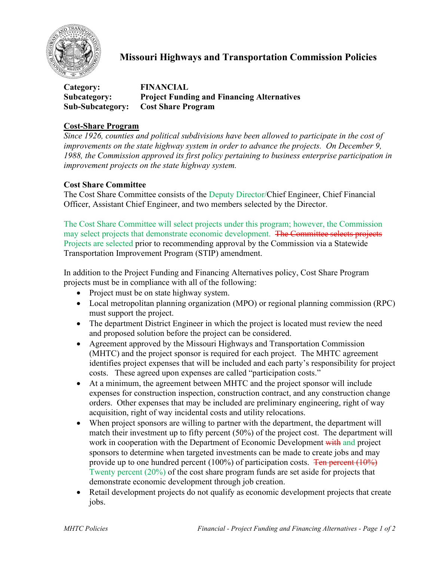

# **Missouri Highways and Transportation Commission Policies**

| Category:               | <b>FINANCIAL</b>                                  |
|-------------------------|---------------------------------------------------|
| Subcategory:            | <b>Project Funding and Financing Alternatives</b> |
| <b>Sub-Subcategory:</b> | <b>Cost Share Program</b>                         |

## **Cost-Share Program**

*Since 1926, counties and political subdivisions have been allowed to participate in the cost of improvements on the state highway system in order to advance the projects. On December 9, 1988, the Commission approved its first policy pertaining to business enterprise participation in improvement projects on the state highway system.* 

## **Cost Share Committee**

The Cost Share Committee consists of the Deputy Director/Chief Engineer, Chief Financial Officer, Assistant Chief Engineer, and two members selected by the Director.

The Cost Share Committee will select projects under this program; however, the Commission may select projects that demonstrate economic development. The Committee selects projects Projects are selected prior to recommending approval by the Commission via a Statewide Transportation Improvement Program (STIP) amendment.

In addition to the Project Funding and Financing Alternatives policy, Cost Share Program projects must be in compliance with all of the following:

- Project must be on state highway system.
- Local metropolitan planning organization (MPO) or regional planning commission (RPC) must support the project.
- The department District Engineer in which the project is located must review the need and proposed solution before the project can be considered.
- Agreement approved by the Missouri Highways and Transportation Commission (MHTC) and the project sponsor is required for each project. The MHTC agreement identifies project expenses that will be included and each party's responsibility for project costs. These agreed upon expenses are called "participation costs."
- At a minimum, the agreement between MHTC and the project sponsor will include expenses for construction inspection, construction contract, and any construction change orders. Other expenses that may be included are preliminary engineering, right of way acquisition, right of way incidental costs and utility relocations.
- When project sponsors are willing to partner with the department, the department will match their investment up to fifty percent (50%) of the project cost. The department will work in cooperation with the Department of Economic Development with and project sponsors to determine when targeted investments can be made to create jobs and may provide up to one hundred percent (100%) of participation costs. Ten percent (10%) Twenty percent (20%) of the cost share program funds are set aside for projects that demonstrate economic development through job creation.
- Retail development projects do not qualify as economic development projects that create jobs.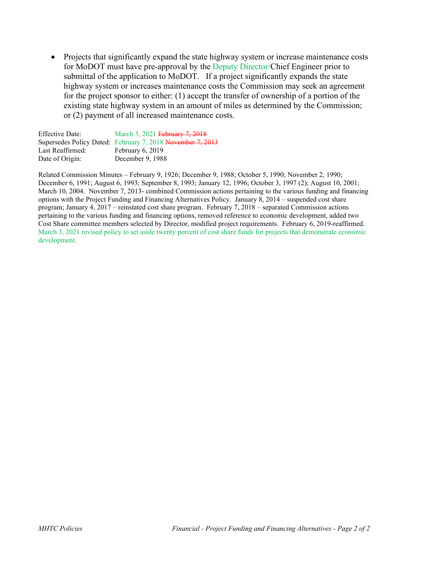• Projects that significantly expand the state highway system or increase maintenance costs for MoDOT must have pre-approval by the Deputy Director/Chief Engineer prior to submittal of the application to MoDOT. If a project significantly expands the state highway system or increases maintenance costs the Commission may seek an agreement for the project sponsor to either: (1) accept the transfer of ownership of a portion of the existing state highway system in an amount of miles as determined by the Commission; or (2) payment of all increased maintenance costs.

| <b>Effective Date:</b> | March 3, 2021 February 7, 2018                             |
|------------------------|------------------------------------------------------------|
|                        | Supersedes Policy Dated: February 7, 2018 November 7, 2013 |
| Last Reaffirmed:       | February 6, 2019                                           |
| Date of Origin:        | December 9, 1988                                           |

Related Commission Minutes – February 9, 1926; December 9, 1988; October 5, 1990; November 2, 1990; December 6, 1991; August 6, 1993; September 8, 1993; January 12, 1996; October 3, 1997 (2); August 10, 2001; March 10, 2004. November 7, 2013- combined Commission actions pertaining to the various funding and financing options with the Project Funding and Financing Alternatives Policy. January 8, 2014 – suspended cost share program; January 4, 2017 – reinstated cost share program. February 7, 2018 – separated Commission actions pertaining to the various funding and financing options, removed reference to economic development, added two Cost Share committee members selected by Director, modified project requirements. February 6, 2019-reaffirmed. March 3, 2021 revised policy to set aside twenty percent of cost share funds for projects that demonstrate economic development.